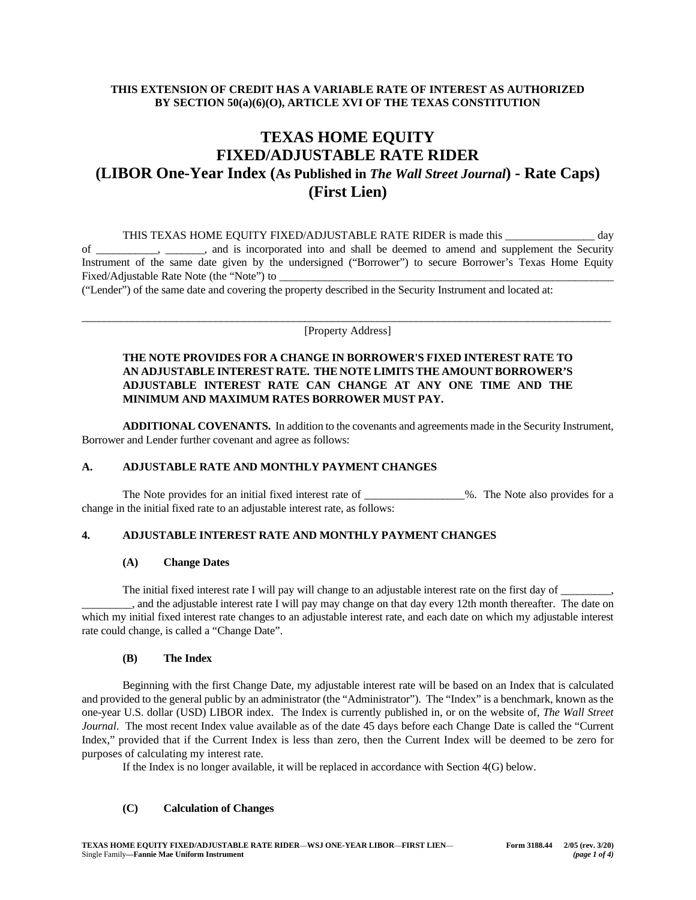# **THIS EXTENSION OF CREDIT HAS A VARIABLE RATE OF INTEREST AS AUTHORIZED BY SECTION 50(a)(6)(O), ARTICLE XVI OF THE TEXAS CONSTITUTION**

# **TEXAS HOME EQUITY FIXED/ADJUSTABLE RATE RIDER (LIBOR One-Year Index (As Published in** *The Wall Street Journal***) - Rate Caps) (First Lien)**

THIS TEXAS HOME EQUITY FIXED/ADJUSTABLE RATE RIDER is made this day of \_\_\_\_\_\_\_\_\_\_\_, \_\_\_\_\_\_\_, and is incorporated into and shall be deemed to amend and supplement the Security Instrument of the same date given by the undersigned ("Borrower") to secure Borrower's Texas Home Equity Fixed/Adjustable Rate Note (the "Note") to

("Lender") of the same date and covering the property described in the Security Instrument and located at:

 $\Box$ [Property Address]

# **THE NOTE PROVIDES FOR A CHANGE IN BORROWER'S FIXED INTEREST RATE TO AN ADJUSTABLE INTEREST RATE. THE NOTE LIMITS THE AMOUNT BORROWER'S ADJUSTABLE INTEREST RATE CAN CHANGE AT ANY ONE TIME AND THE MINIMUM AND MAXIMUM RATES BORROWER MUST PAY.**

**ADDITIONAL COVENANTS.** In addition to the covenants and agreements made in the Security Instrument, Borrower and Lender further covenant and agree as follows:

## **A. ADJUSTABLE RATE AND MONTHLY PAYMENT CHANGES**

The Note provides for an initial fixed interest rate of \_\_\_\_\_\_\_\_\_\_\_\_\_\_\_\_%. The Note also provides for a change in the initial fixed rate to an adjustable interest rate, as follows:

## **4. ADJUSTABLE INTEREST RATE AND MONTHLY PAYMENT CHANGES**

#### **(A) Change Dates**

The initial fixed interest rate I will pay will change to an adjustable interest rate on the first day of \_\_\_\_\_\_\_\_\_, \_\_\_\_\_\_\_\_\_, and the adjustable interest rate I will pay may change on that day every 12th month thereafter. The date on which my initial fixed interest rate changes to an adjustable interest rate, and each date on which my adjustable interest rate could change, is called a "Change Date".

## **(B) The Index**

Beginning with the first Change Date, my adjustable interest rate will be based on an Index that is calculated and provided to the general public by an administrator (the "Administrator"). The "Index" is a benchmark, known as the one-year U.S. dollar (USD) LIBOR index. The Index is currently published in, or on the website of, *The Wall Street Journal*. The most recent Index value available as of the date 45 days before each Change Date is called the "Current Index," provided that if the Current Index is less than zero, then the Current Index will be deemed to be zero for purposes of calculating my interest rate.

If the Index is no longer available, it will be replaced in accordance with Section 4(G) below.

#### **(C) Calculation of Changes**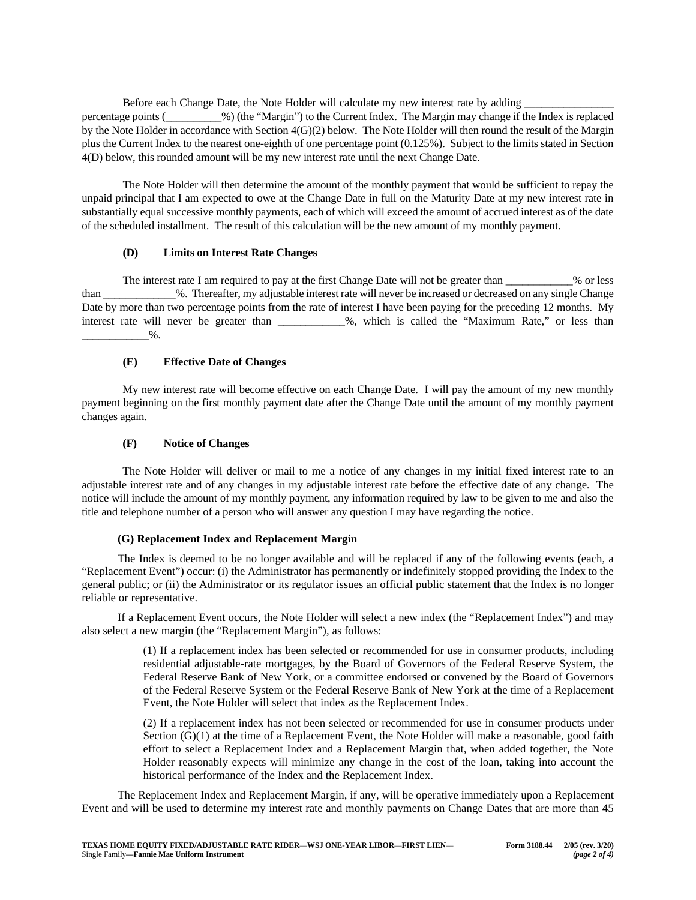Before each Change Date, the Note Holder will calculate my new interest rate by adding percentage points (\_\_\_\_\_\_\_\_\_\_%) (the "Margin") to the Current Index. The Margin may change if the Index is replaced by the Note Holder in accordance with Section 4(G)(2) below. The Note Holder will then round the result of the Margin plus the Current Index to the nearest one-eighth of one percentage point (0.125%). Subject to the limits stated in Section 4(D) below, this rounded amount will be my new interest rate until the next Change Date.

The Note Holder will then determine the amount of the monthly payment that would be sufficient to repay the unpaid principal that I am expected to owe at the Change Date in full on the Maturity Date at my new interest rate in substantially equal successive monthly payments, each of which will exceed the amount of accrued interest as of the date of the scheduled installment. The result of this calculation will be the new amount of my monthly payment.

## **(D) Limits on Interest Rate Changes**

The interest rate I am required to pay at the first Change Date will not be greater than \_\_\_\_\_\_\_\_\_\_\_% or less than  $\%$ . Thereafter, my adjustable interest rate will never be increased or decreased on any single Change Date by more than two percentage points from the rate of interest I have been paying for the preceding 12 months. My interest rate will never be greater than 2%, which is called the "Maximum Rate," or less than  $\%$ .

## **(E) Effective Date of Changes**

My new interest rate will become effective on each Change Date. I will pay the amount of my new monthly payment beginning on the first monthly payment date after the Change Date until the amount of my monthly payment changes again.

#### **(F) Notice of Changes**

The Note Holder will deliver or mail to me a notice of any changes in my initial fixed interest rate to an adjustable interest rate and of any changes in my adjustable interest rate before the effective date of any change. The notice will include the amount of my monthly payment, any information required by law to be given to me and also the title and telephone number of a person who will answer any question I may have regarding the notice.

#### **(G) Replacement Index and Replacement Margin**

The Index is deemed to be no longer available and will be replaced if any of the following events (each, a "Replacement Event") occur: (i) the Administrator has permanently or indefinitely stopped providing the Index to the general public; or (ii) the Administrator or its regulator issues an official public statement that the Index is no longer reliable or representative.

If a Replacement Event occurs, the Note Holder will select a new index (the "Replacement Index") and may also select a new margin (the "Replacement Margin"), as follows:

> (1) If a replacement index has been selected or recommended for use in consumer products, including residential adjustable-rate mortgages, by the Board of Governors of the Federal Reserve System, the Federal Reserve Bank of New York, or a committee endorsed or convened by the Board of Governors of the Federal Reserve System or the Federal Reserve Bank of New York at the time of a Replacement Event, the Note Holder will select that index as the Replacement Index.

> (2) If a replacement index has not been selected or recommended for use in consumer products under Section (G)(1) at the time of a Replacement Event, the Note Holder will make a reasonable, good faith effort to select a Replacement Index and a Replacement Margin that, when added together, the Note Holder reasonably expects will minimize any change in the cost of the loan, taking into account the historical performance of the Index and the Replacement Index.

The Replacement Index and Replacement Margin, if any, will be operative immediately upon a Replacement Event and will be used to determine my interest rate and monthly payments on Change Dates that are more than 45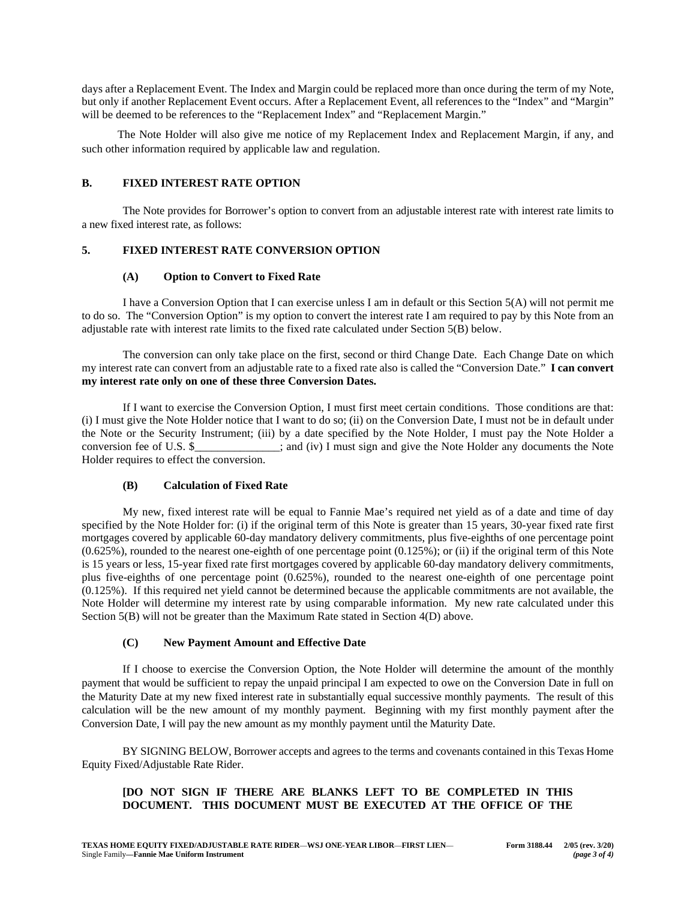days after a Replacement Event. The Index and Margin could be replaced more than once during the term of my Note, but only if another Replacement Event occurs. After a Replacement Event, all references to the "Index" and "Margin" will be deemed to be references to the "Replacement Index" and "Replacement Margin."

The Note Holder will also give me notice of my Replacement Index and Replacement Margin, if any, and such other information required by applicable law and regulation.

### **B. FIXED INTEREST RATE OPTION**

The Note provides for Borrower's option to convert from an adjustable interest rate with interest rate limits to a new fixed interest rate, as follows:

# **5. FIXED INTEREST RATE CONVERSION OPTION**

#### **(A) Option to Convert to Fixed Rate**

I have a Conversion Option that I can exercise unless I am in default or this Section 5(A) will not permit me to do so. The "Conversion Option" is my option to convert the interest rate I am required to pay by this Note from an adjustable rate with interest rate limits to the fixed rate calculated under Section 5(B) below.

The conversion can only take place on the first, second or third Change Date. Each Change Date on which my interest rate can convert from an adjustable rate to a fixed rate also is called the "Conversion Date." **I can convert my interest rate only on one of these three Conversion Dates.**

If I want to exercise the Conversion Option, I must first meet certain conditions. Those conditions are that: (i) I must give the Note Holder notice that I want to do so; (ii) on the Conversion Date, I must not be in default under the Note or the Security Instrument; (iii) by a date specified by the Note Holder, I must pay the Note Holder a conversion fee of U.S. \$  $\qquad \qquad$  ; and (iv) I must sign and give the Note Holder any documents the Note Holder requires to effect the conversion.

#### **(B) Calculation of Fixed Rate**

My new, fixed interest rate will be equal to Fannie Mae's required net yield as of a date and time of day specified by the Note Holder for: (i) if the original term of this Note is greater than 15 years, 30-year fixed rate first mortgages covered by applicable 60-day mandatory delivery commitments, plus five-eighths of one percentage point  $(0.625\%)$ , rounded to the nearest one-eighth of one percentage point  $(0.125\%)$ ; or (ii) if the original term of this Note is 15 years or less, 15-year fixed rate first mortgages covered by applicable 60-day mandatory delivery commitments, plus five-eighths of one percentage point (0.625%), rounded to the nearest one-eighth of one percentage point (0.125%). If this required net yield cannot be determined because the applicable commitments are not available, the Note Holder will determine my interest rate by using comparable information. My new rate calculated under this Section 5(B) will not be greater than the Maximum Rate stated in Section 4(D) above.

#### **(C) New Payment Amount and Effective Date**

If I choose to exercise the Conversion Option, the Note Holder will determine the amount of the monthly payment that would be sufficient to repay the unpaid principal I am expected to owe on the Conversion Date in full on the Maturity Date at my new fixed interest rate in substantially equal successive monthly payments. The result of this calculation will be the new amount of my monthly payment. Beginning with my first monthly payment after the Conversion Date, I will pay the new amount as my monthly payment until the Maturity Date.

BY SIGNING BELOW, Borrower accepts and agrees to the terms and covenants contained in this Texas Home Equity Fixed/Adjustable Rate Rider.

# **[DO NOT SIGN IF THERE ARE BLANKS LEFT TO BE COMPLETED IN THIS DOCUMENT. THIS DOCUMENT MUST BE EXECUTED AT THE OFFICE OF THE**